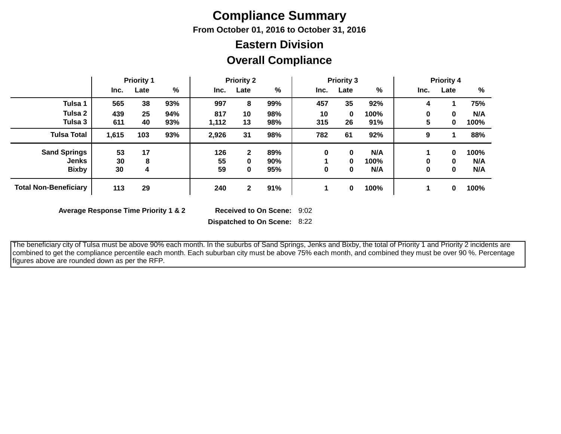## **Compliance Summary**

**From October 01, 2016 to October 31, 2016**

#### **Overall Compliance Eastern Division**

|                              | <b>Priority 1</b> |      |     | <b>Priority 2</b> |              |               | <b>Priority 3</b> |          |      | <b>Priority 4</b> |             |      |
|------------------------------|-------------------|------|-----|-------------------|--------------|---------------|-------------------|----------|------|-------------------|-------------|------|
|                              | Inc.              | Late | %   | Inc.              | Late         | $\frac{0}{0}$ | Inc.              | Late     | %    | Inc.              | Late        | %    |
| Tulsa 1                      | 565               | 38   | 93% | 997               | 8            | 99%           | 457               | 35       | 92%  | 4                 |             | 75%  |
| Tulsa 2                      | 439               | 25   | 94% | 817               | 10           | 98%           | 10                | $\bf{0}$ | 100% | 0                 | $\mathbf 0$ | N/A  |
| Tulsa 3                      | 611               | 40   | 93% | 1,112             | 13           | 98%           | 315               | 26       | 91%  | 5                 | $\mathbf 0$ | 100% |
| <b>Tulsa Total</b>           | 1,615             | 103  | 93% | 2,926             | 31           | 98%           | 782               | 61       | 92%  | 9                 |             | 88%  |
| <b>Sand Springs</b>          | 53                | 17   |     | 126               | $\mathbf{2}$ | 89%           | 0                 | $\bf{0}$ | N/A  |                   | $\bf{0}$    | 100% |
| <b>Jenks</b>                 | 30                | 8    |     | 55                | 0            | 90%           |                   | 0        | 100% | 0                 | $\mathbf 0$ | N/A  |
| <b>Bixby</b>                 | 30                | 4    |     | 59                | $\mathbf 0$  | 95%           | 0                 | 0        | N/A  | 0                 | 0           | N/A  |
| <b>Total Non-Beneficiary</b> | 113               | 29   |     | 240               | $\mathbf{2}$ | 91%           |                   | 0        | 100% |                   | 0           | 100% |

**Average Response Time Priority 1 & 2** 

Received to On Scene: 9:02

**Dispatched to On Scene:** 8:22

 The beneficiary city of Tulsa must be above 90% each month. In the suburbs of Sand Springs, Jenks and Bixby, the total of Priority 1 and Priority 2 incidents are combined to get the compliance percentile each month. Each suburban city must be above 75% each month, and combined they must be over 90 %. Percentage figures above are rounded down as per the RFP.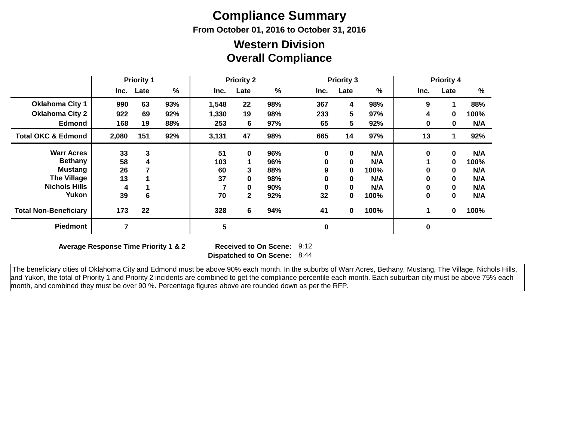# **Compliance Summary**

**From October 01, 2016 to October 31, 2016**

#### **Overall Compliance Western Division**

|                               | <b>Priority 1</b> |      | <b>Priority 2</b> |       |              | <b>Priority 3</b> |          |      | <b>Priority 4</b> |      |              |      |
|-------------------------------|-------------------|------|-------------------|-------|--------------|-------------------|----------|------|-------------------|------|--------------|------|
|                               | Inc.              | Late | %                 | Inc.  | Late         | %                 | Inc.     | Late | %                 | Inc. | Late         | %    |
| <b>Oklahoma City 1</b>        | 990               | 63   | 93%               | 1,548 | 22           | 98%               | 367      | 4    | 98%               | 9    |              | 88%  |
| <b>Oklahoma City 2</b>        | 922               | 69   | 92%               | 1,330 | 19           | 98%               | 233      | 5.   | 97%               | 4    | $\bf{0}$     | 100% |
| <b>Edmond</b>                 | 168               | 19   | 88%               | 253   | 6            | 97%               | 65       | 5.   | 92%               | 0    | 0            | N/A  |
| <b>Total OKC &amp; Edmond</b> | 2,080             | 151  | 92%               | 3,131 | 47           | 98%               | 665      | 14   | 97%               | 13   |              | 92%  |
| <b>Warr Acres</b>             | 33                | 3    |                   | 51    | $\mathbf 0$  | 96%               | $\bf{0}$ | 0    | N/A               | 0    | $\mathbf 0$  | N/A  |
| <b>Bethany</b>                | 58                | 4    |                   | 103   |              | 96%               | 0        | 0    | N/A               |      | 0            | 100% |
| Mustang                       | 26                |      |                   | 60    | 3            | 88%               | 9        | 0    | 100%              | 0    | $\bf{0}$     | N/A  |
| <b>The Village</b>            | 13                |      |                   | 37    | $\bf{0}$     | 98%               | 0        | 0    | N/A               | 0    | $\mathbf{0}$ | N/A  |
| <b>Nichols Hills</b>          | 4                 |      |                   |       | 0            | 90%               | 0        | 0    | N/A               | 0    | $\bf{0}$     | N/A  |
| Yukon                         | 39                | 6    |                   | 70    | $\mathbf{2}$ | 92%               | 32       | 0    | 100%              | 0    | $\bf{0}$     | N/A  |
| <b>Total Non-Beneficiary</b>  | 173               | 22   |                   | 328   | 6            | 94%               | 41       | 0    | 100%              |      | 0            | 100% |
| <b>Piedmont</b>               | 7                 |      |                   | 5     |              |                   | $\bf{0}$ |      |                   | 0    |              |      |

**Average Response Time Priority 1 & 2** 

**Dispatched to On Scene:** 8:44 Received to On Scene: 9:12

 The beneficiary cities of Oklahoma City and Edmond must be above 90% each month. In the suburbs of Warr Acres, Bethany, Mustang, The Village, Nichols Hills, and Yukon, the total of Priority 1 and Priority 2 incidents are combined to get the compliance percentile each month. Each suburban city must be above 75% each month, and combined they must be over 90 %. Percentage figures above are rounded down as per the RFP.